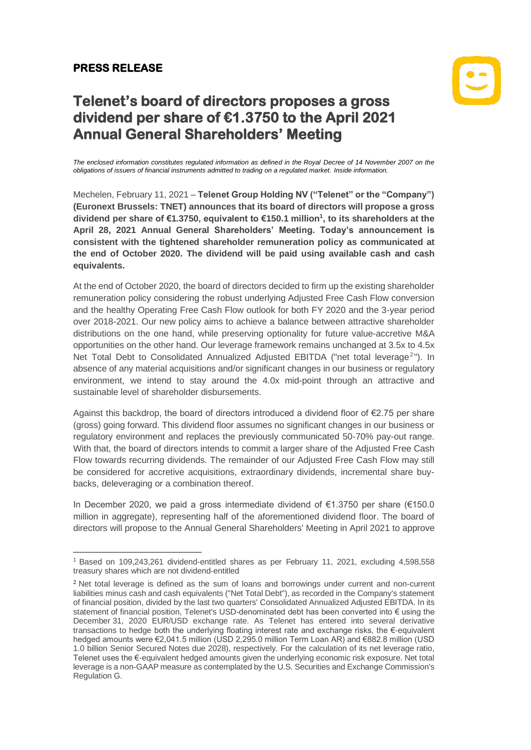## **PRESS RELEASE**



## **Telenet's board of directors proposes a gross dividend per share of €1.3750 to the April 2021 Annual General Shareholders' Meeting**

*The enclosed information constitutes regulated information as defined in the Royal Decree of 14 November 2007 on the obligations of issuers of financial instruments admitted to trading on a regulated market. Inside information.*

Mechelen, February 11, 2021 – **Telenet Group Holding NV ("Telenet" or the "Company") (Euronext Brussels: TNET) announces that its board of directors will propose a gross dividend per share of €1.3750, equivalent to €150.1 million<sup>1</sup> , to its shareholders at the April 28, 2021 Annual General Shareholders' Meeting. Today's announcement is consistent with the tightened shareholder remuneration policy as communicated at the end of October 2020. The dividend will be paid using available cash and cash equivalents.**

At the end of October 2020, the board of directors decided to firm up the existing shareholder remuneration policy considering the robust underlying Adjusted Free Cash Flow conversion and the healthy Operating Free Cash Flow outlook for both FY 2020 and the 3-year period over 2018-2021. Our new policy aims to achieve a balance between attractive shareholder distributions on the one hand, while preserving optionality for future value-accretive M&A opportunities on the other hand. Our leverage framework remains unchanged at 3.5x to 4.5x Net Total Debt to Consolidated Annualized Adjusted EBITDA ("net total leverage<sup>2</sup>"). In absence of any material acquisitions and/or significant changes in our business or regulatory environment, we intend to stay around the 4.0x mid-point through an attractive and sustainable level of shareholder disbursements.

Against this backdrop, the board of directors introduced a dividend floor of €2.75 per share (gross) going forward. This dividend floor assumes no significant changes in our business or regulatory environment and replaces the previously communicated 50-70% pay-out range. With that, the board of directors intends to commit a larger share of the Adjusted Free Cash Flow towards recurring dividends. The remainder of our Adjusted Free Cash Flow may still be considered for accretive acquisitions, extraordinary dividends, incremental share buybacks, deleveraging or a combination thereof.

In December 2020, we paid a gross intermediate dividend of €1.3750 per share (€150.0 million in aggregate), representing half of the aforementioned dividend floor. The board of directors will propose to the Annual General Shareholders' Meeting in April 2021 to approve

<sup>1</sup> Based on 109,243,261 dividend-entitled shares as per February 11, 2021, excluding 4,598,558 treasury shares which are not dividend-entitled

<sup>&</sup>lt;sup>2</sup> Net total leverage is defined as the sum of loans and borrowings under current and non-current liabilities minus cash and cash equivalents ("Net Total Debt"), as recorded in the Company's statement of financial position, divided by the last two quarters' Consolidated Annualized Adjusted EBITDA. In its statement of financial position, Telenet's USD-denominated debt has been converted into € using the December 31, 2020 EUR/USD exchange rate. As Telenet has entered into several derivative transactions to hedge both the underlying floating interest rate and exchange risks, the €-equivalent hedged amounts were €2,041.5 million (USD 2,295.0 million Term Loan AR) and €882.8 million (USD 1.0 billion Senior Secured Notes due 2028), respectively. For the calculation of its net leverage ratio, Telenet uses the €-equivalent hedged amounts given the underlying economic risk exposure. Net total leverage is a non-GAAP measure as contemplated by the U.S. Securities and Exchange Commission's Regulation G.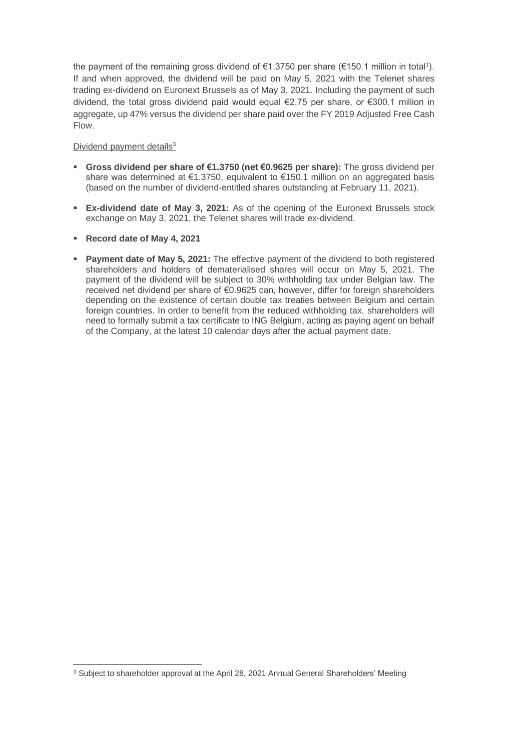the payment of the remaining gross dividend of €1.3750 per share (€150.1 million in total<sup>1</sup>). If and when approved, the dividend will be paid on May 5, 2021 with the Telenet shares trading ex-dividend on Euronext Brussels as of May 3, 2021. Including the payment of such dividend, the total gross dividend paid would equal €2.75 per share, or €300.1 million in aggregate, up 47% versus the dividend per share paid over the FY 2019 Adjusted Free Cash Flow.

## Dividend payment details<sup>3</sup>

- **Gross dividend per share of €1.3750 (net €0.9625 per share):** The gross dividend per share was determined at €1.3750, equivalent to €150.1 million on an aggregated basis (based on the number of dividend-entitled shares outstanding at February 11, 2021).
- **Ex-dividend date of May 3, 2021:** As of the opening of the Euronext Brussels stock exchange on May 3, 2021, the Telenet shares will trade ex-dividend.
- **Record date of May 4, 2021**
- **Payment date of May 5, 2021:** The effective payment of the dividend to both registered shareholders and holders of dematerialised shares will occur on May 5, 2021. The payment of the dividend will be subject to 30% withholding tax under Belgian law. The received net dividend per share of €0.9625 can, however, differ for foreign shareholders depending on the existence of certain double tax treaties between Belgium and certain foreign countries. In order to benefit from the reduced withholding tax, shareholders will need to formally submit a tax certificate to ING Belgium, acting as paying agent on behalf of the Company, at the latest 10 calendar days after the actual payment date.

<sup>&</sup>lt;sup>3</sup> Subject to shareholder approval at the April 28, 2021 Annual General Shareholders' Meeting